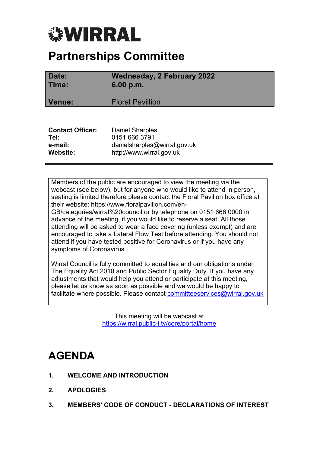# *<b>WIRRAL*

# **Partnerships Committee**

| Date:<br>Time:          | <b>Wednesday, 2 February 2022</b><br>6.00 p.m. |
|-------------------------|------------------------------------------------|
| Venue:                  | <b>Floral Pavillion</b>                        |
|                         |                                                |
| <b>Contact Officer:</b> | <b>Daniel Sharples</b>                         |
| Tel:                    | 0151 666 3791                                  |
| e-mail:                 | danielsharples@wirral.gov.uk                   |
| Website:                | http://www.wirral.gov.uk                       |

Members of the public are encouraged to view the meeting via the webcast (see below), but for anyone who would like to attend in person, seating is limited therefore please contact the Floral Pavilion box office at their website: https://www.floralpavilion.com/en-GB/categories/wirral%20council or by telephone on 0151 666 0000 in advance of the meeting, if you would like to reserve a seat. All those attending will be asked to wear a face covering (unless exempt) and are encouraged to take a Lateral Flow Test before attending. You should not attend if you have tested positive for Coronavirus or if you have any symptoms of Coronavirus.

**Website:** http://www.wirral.gov.uk

Wirral Council is fully committed to equalities and our obligations under The Equality Act 2010 and Public Sector Equality Duty. If you have any adjustments that would help you attend or participate at this meeting, please let us know as soon as possible and we would be happy to facilitate where possible. Please contact [committeeservices@wirral.gov.uk](mailto:committeeservices@wirral.gov.uk)

> This meeting will be webcast at <https://wirral.public-i.tv/core/portal/home>

# **AGENDA**

- **1. WELCOME AND INTRODUCTION**
- **2. APOLOGIES**
- **3. MEMBERS' CODE OF CONDUCT - DECLARATIONS OF INTEREST**